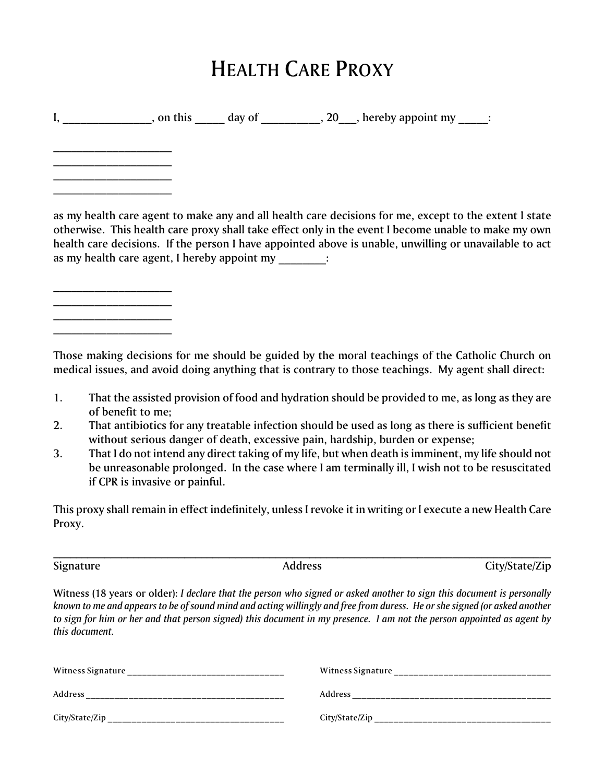## HEALTH CARE PROXY

|                                                |  | , on this $\qquad \qquad$ day of $\qquad \qquad$ , 20 $\qquad$ , hereby appoint my $\qquad$ :                                                                                                                  |  |
|------------------------------------------------|--|----------------------------------------------------------------------------------------------------------------------------------------------------------------------------------------------------------------|--|
|                                                |  |                                                                                                                                                                                                                |  |
|                                                |  |                                                                                                                                                                                                                |  |
|                                                |  | as my health care agent to make any and all health care decisions for me, except to the extent I state                                                                                                         |  |
| as my health care agent, I hereby appoint my : |  | otherwise. This health care proxy shall take effect only in the event I become unable to make my own<br>health care decisions. If the person I have appointed above is unable, unwilling or unavailable to act |  |
|                                                |  |                                                                                                                                                                                                                |  |

Those making decisions for me should be guided by the moral teachings of the Catholic Church on medical issues, and avoid doing anything that is contrary to those teachings. My agent shall direct:

- 1. That the assisted provision of food and hydration should be provided to me, as long as they are of benefit to me;
- 2. That antibiotics for any treatable infection should be used as long as there is sufficient benefit without serious danger of death, excessive pain, hardship, burden or expense;
- 3. That I do not intend any direct taking of my life, but when death is imminent, my life should not be unreasonable prolonged. In the case where I am terminally ill, I wish not to be resuscitated if CPR is invasive or painful.

This proxy shall remain in effect indefinitely, unless I revoke it in writing or I execute a new Health Care Proxy.

 $\overline{\phantom{a}}$  , which is a set of the set of the set of the set of the set of the set of the set of the set of the set of the set of the set of the set of the set of the set of the set of the set of the set of the set of th  $\overline{\phantom{a}}$  , which is a set of the set of the set of the set of the set of the set of the set of the set of the set of the set of the set of the set of the set of the set of the set of the set of the set of the set of th \_\_\_\_\_\_\_\_\_\_\_\_\_\_\_\_\_\_\_\_

 $\_$  ,  $\_$  ,  $\_$  ,  $\_$  ,  $\_$  ,  $\_$  ,  $\_$  ,  $\_$  ,  $\_$  ,  $\_$  ,  $\_$  ,  $\_$  ,  $\_$  ,  $\_$  ,  $\_$  ,  $\_$  ,  $\_$  ,  $\_$  ,  $\_$  ,  $\_$  ,  $\_$  ,  $\_$  ,  $\_$  ,  $\_$  ,  $\_$  ,  $\_$  ,  $\_$  ,  $\_$  ,  $\_$  ,  $\_$  ,  $\_$  ,  $\_$  ,  $\_$  ,  $\_$  ,  $\_$  ,  $\_$  ,  $\_$  ,

Signature City/State/Zip

Witness (18 years or older): *I declare that the person who signed or asked another to sign this document is personally known to me and appears to be of sound mind and acting willingly and free from duress. He or she signed (or asked another to sign for him or her and that person signed) this document in my presence. I am not the person appointed as agent by this document.*

| <b>Witness Signature</b> | <b>Witness Signature</b> |
|--------------------------|--------------------------|
| Address                  | Address                  |
| City/State/Zip           | City/State/Zip           |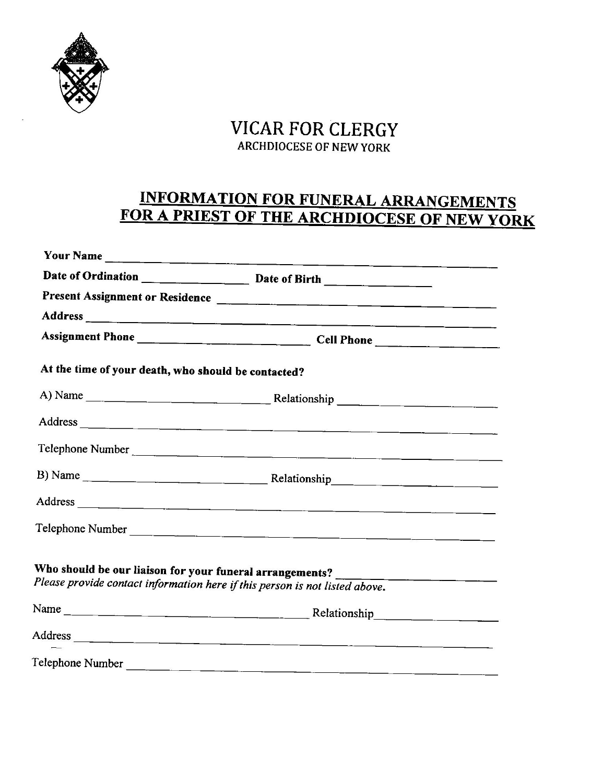

## **VICAR FOR CLERGY ARCHDIOCESE OF NEW YORK**

## **INFORMATION FOR FUNERAL ARRANGEMENTS** FOR A PRIEST OF THE ARCHDIOCESE OF NEW YORK

|                                                     | Present Assignment or Residence                                                                                                                                 |  |
|-----------------------------------------------------|-----------------------------------------------------------------------------------------------------------------------------------------------------------------|--|
|                                                     |                                                                                                                                                                 |  |
|                                                     |                                                                                                                                                                 |  |
| At the time of your death, who should be contacted? |                                                                                                                                                                 |  |
|                                                     |                                                                                                                                                                 |  |
|                                                     |                                                                                                                                                                 |  |
|                                                     | Telephone Number                                                                                                                                                |  |
|                                                     |                                                                                                                                                                 |  |
|                                                     |                                                                                                                                                                 |  |
|                                                     | Telephone Number                                                                                                                                                |  |
|                                                     | Who should be our liaison for your funeral arrangements? _______________________<br>Please provide contact information here if this person is not listed above. |  |
|                                                     |                                                                                                                                                                 |  |
|                                                     |                                                                                                                                                                 |  |